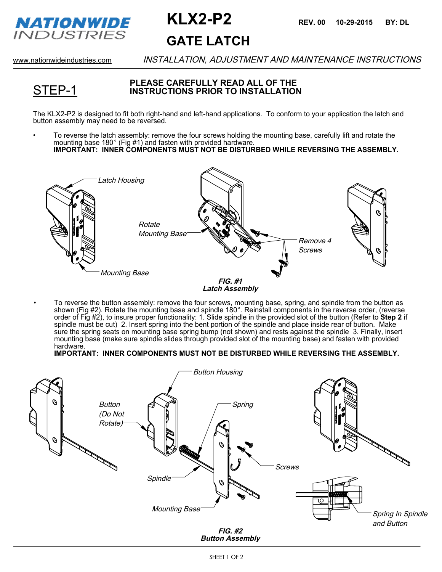

# **GATE LATCH KLX2-P2 REV. 00 10-29-2015 BY: DL**

STEP-1

www.nationwideindustries.com INSTALLATION, ADJUSTMENT AND MAINTENANCE INSTRUCTIONS

#### **PLEASE CAREFULLY READ ALL OF THE INSTRUCTIONS PRIOR TO INSTALLATION**

The KLX2-P2 is designed to fit both right-hand and left-hand applications. To conform to your application the latch and button assembly may need to be reversed.

• To reverse the latch assembly: remove the four screws holding the mounting base, carefully lift and rotate the mounting base 180° (Fig #1) and fasten with provided hardware. **IMPORTANT: INNER COMPONENTS MUST NOT BE DISTURBED WHILE REVERSING THE ASSEMBLY.**



• To reverse the button assembly: remove the four screws, mounting base, spring, and spindle from the button as shown (Fig #2). Rotate the mounting base and spindle 180 . Reinstall components in the reverse order, (reverse order of Fig #2), to insure proper functionality: 1. Slide spindle in the provided slot of the button (Refer to **Step 2** if spindle must be cut) 2. Insert spring into the bent portion of the spindle and place inside rear of button. Make sure the spring seats on mounting base spring bump (not shown) and rests against the spindle 3. Finally, insert mounting base (make sure spindle slides through provided slot of the mounting base) and fasten with provided hardware.

```
IMPORTANT: INNER COMPONENTS MUST NOT BE DISTURBED WHILE REVERSING THE ASSEMBLY.
```